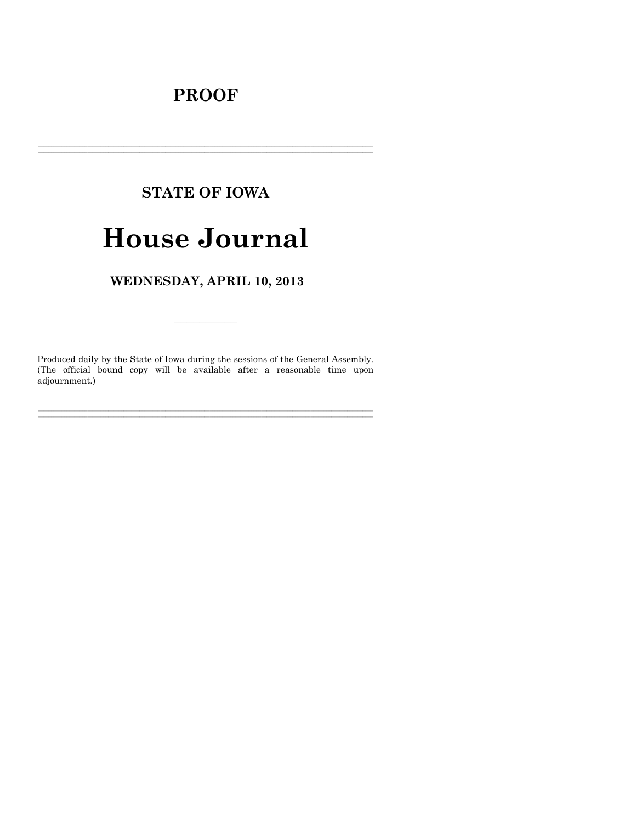# **PROOF**

# **STATE OF IOWA**

# **House Journal**

WEDNESDAY, APRIL 10, 2013

Produced daily by the State of Iowa during the sessions of the General Assembly. (The official bound copy will be available after a reasonable time upon adjournment.)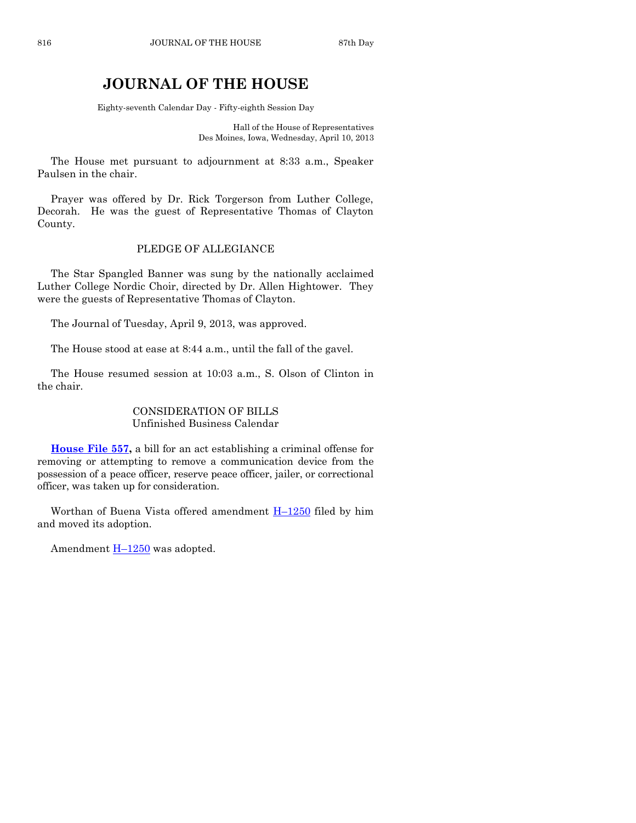# **JOURNAL OF THE HOUSE**

Eighty-seventh Calendar Day - Fifty-eighth Session Day

Hall of the House of Representatives Des Moines, Iowa, Wednesday, April 10, 2013

The House met pursuant to adjournment at 8:33 a.m., Speaker Paulsen in the chair.

Prayer was offered by Dr. Rick Torgerson from Luther College, Decorah. He was the guest of Representative Thomas of Clayton County.

#### PLEDGE OF ALLEGIANCE

The Star Spangled Banner was sung by the nationally acclaimed Luther College Nordic Choir, directed by Dr. Allen Hightower. They were the guests of Representative Thomas of Clayton.

The Journal of Tuesday, April 9, 2013, was approved.

The House stood at ease at 8:44 a.m., until the fall of the gavel.

The House resumed session at 10:03 a.m., S. Olson of Clinton in the chair.

#### CONSIDERATION OF BILLS Unfinished Business Calendar

**[House File 557,](http://coolice.legis.state.ia.us/Cool-ICE/default.asp?Category=billinfo&Service=Billbook&frame=1&GA=85&hbill=HF557)** a bill for an act establishing a criminal offense for removing or attempting to remove a communication device from the possession of a peace officer, reserve peace officer, jailer, or correctional officer, was taken up for consideration.

Worthan of Buena Vista offered amendment  $H-1250$  $H-1250$  filed by him and moved its adoption.

Amendment  $H-1250$  $H-1250$  was adopted.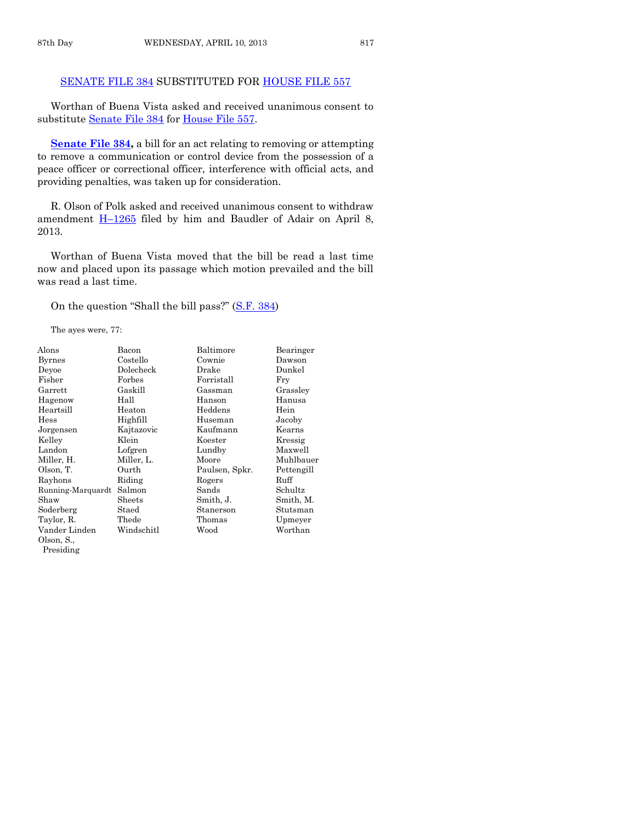## [SENATE FILE 384](http://coolice.legis.state.ia.us/Cool-ICE/default.asp?Category=billinfo&Service=Billbook&frame=1&GA=85&hbill=SF384) SUBSTITUTED FOR [HOUSE FILE 557](http://coolice.legis.state.ia.us/Cool-ICE/default.asp?Category=billinfo&Service=Billbook&frame=1&GA=85&hbill=HF557)

Worthan of Buena Vista asked and received unanimous consent to substitute [Senate File 384](http://coolice.legis.state.ia.us/Cool-ICE/default.asp?Category=billinfo&Service=Billbook&frame=1&GA=85&hbill=SF384) for [House File 557.](http://coolice.legis.state.ia.us/Cool-ICE/default.asp?Category=billinfo&Service=Billbook&frame=1&GA=85&hbill=HF557)

**[Senate File 384,](http://coolice.legis.state.ia.us/Cool-ICE/default.asp?Category=billinfo&Service=Billbook&frame=1&GA=85&hbill=SF384)** a bill for an act relating to removing or attempting to remove a communication or control device from the possession of a peace officer or correctional officer, interference with official acts, and providing penalties, was taken up for consideration.

R. Olson of Polk asked and received unanimous consent to withdraw amendment H–[1265](http://coolice.legis.state.ia.us/Cool-ICE/default.asp?Category=billinfo&Service=Billbook&frame=1&GA=85&hbill=H1265) filed by him and Baudler of Adair on April 8, 2013.

Worthan of Buena Vista moved that the bill be read a last time now and placed upon its passage which motion prevailed and the bill was read a last time.

> **Bearinger** Dawson Dunkel<br>Fry

Grassley Hanusa

Jacoby Kearns Kressig Maxwell Muhlbauer Pettengill

 $Schultz$ Smith, M. Stutsman Upmeyer Worthan

On the question "Shall the bill pass?" ([S.F. 384\)](http://coolice.legis.state.ia.us/Cool-ICE/default.asp?Category=billinfo&Service=Billbook&frame=1&GA=85&hbill=SF384)

The ayes were, 77:

| Alons             | Bacon      | Baltimore      | Bear  |
|-------------------|------------|----------------|-------|
| <b>Byrnes</b>     | Costello   | Cownie         | Daw   |
| Deyoe             | Dolecheck  | Drake          | Dunl  |
| Fisher            | Forbes     | Forristall     | Fry   |
| Garrett           | Gaskill    | Gassman        | Gras  |
| Hagenow           | Hall       | Hanson         | Hany  |
| Heartsill         | Heaton     | Heddens        | Hein  |
| Hess              | Highfill   | Huseman        | Jacol |
| Jorgensen         | Kajtazovic | Kaufmann       | Kear  |
| Kelley            | Klein      | Koester        | Kres  |
| Landon            | Lofgren    | Lundby         | Maxy  |
| Miller, H.        | Miller, L. | Moore          | Muh   |
| Olson, T.         | Ourth      | Paulsen, Spkr. | Pette |
| Rayhons           | Riding     | Rogers         | Ruff  |
| Running-Marquardt | Salmon     | Sands          | Schu  |
| Shaw              | Sheets     | Smith, J.      | Smit  |
| Soderberg         | Staed      | Stanerson      | Stuts |
| Taylor, R.        | Thede      | Thomas         | Upm   |
| Vander Linden     | Windschitl | Wood           | Wort  |
| Olson, S.,        |            |                |       |
| Presiding         |            |                |       |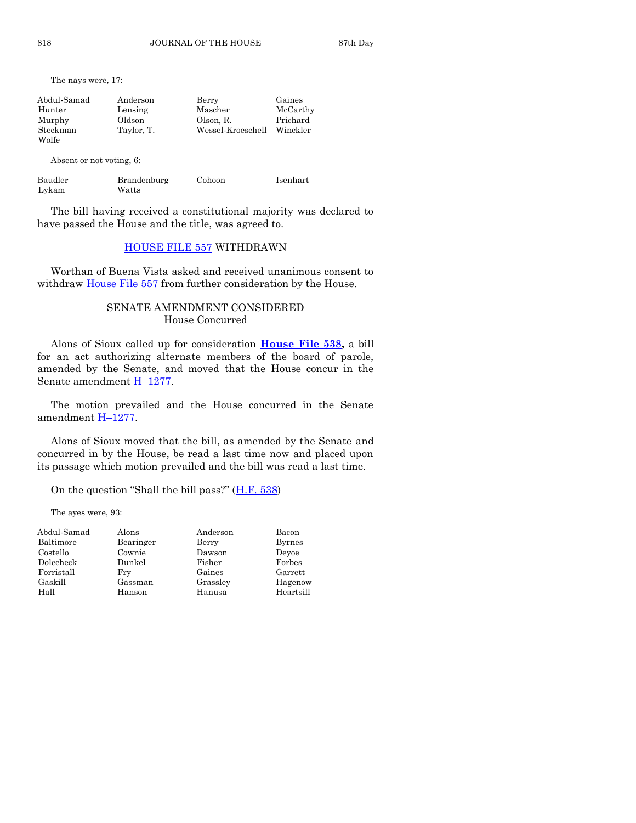The nays were, 17:

| Abdul-Samad | Anderson   | Berry             | Gaines   |
|-------------|------------|-------------------|----------|
| Hunter      | Lensing    | Mascher           | McCarthy |
| Murphy      | Oldson     | Olson, R.         | Prichard |
| Steckman    | Taylor, T. | Wessel-Kroeschell | Winckler |
| Wolfe       |            |                   |          |

Absent or not voting, 6:

| Baudler | Brandenburg | Cohoon | Isenhart |
|---------|-------------|--------|----------|
| Lykam   | Watts       |        |          |

The bill having received a constitutional majority was declared to have passed the House and the title, was agreed to.

#### [HOUSE FILE 557](http://coolice.legis.state.ia.us/Cool-ICE/default.asp?Category=billinfo&Service=Billbook&frame=1&GA=85&hbill=HF557) WITHDRAWN

Worthan of Buena Vista asked and received unanimous consent to withdraw [House File 557](http://coolice.legis.state.ia.us/Cool-ICE/default.asp?Category=billinfo&Service=Billbook&frame=1&GA=85&hbill=HF557) from further consideration by the House.

#### SENATE AMENDMENT CONSIDERED House Concurred

Alons of Sioux called up for consideration **[House File 538,](http://coolice.legis.state.ia.us/Cool-ICE/default.asp?Category=billinfo&Service=Billbook&frame=1&GA=85&hbill=HF538)** a bill for an act authorizing alternate members of the board of parole, amended by the Senate, and moved that the House concur in the Senate amendment H–[1277.](http://coolice.legis.state.ia.us/Cool-ICE/default.asp?Category=billinfo&Service=Billbook&frame=1&GA=85&hbill=H1277)

The motion prevailed and the House concurred in the Senate amendment H–[1277.](http://coolice.legis.state.ia.us/Cool-ICE/default.asp?Category=billinfo&Service=Billbook&frame=1&GA=85&hbill=H1277)

Alons of Sioux moved that the bill, as amended by the Senate and concurred in by the House, be read a last time now and placed upon its passage which motion prevailed and the bill was read a last time.

On the question "Shall the bill pass?"  $(H.F. 538)$  $(H.F. 538)$ 

The ayes were, 93:

| Abdul-Samad | Alons     | Anderson | Bacon         |
|-------------|-----------|----------|---------------|
| Baltimore   | Bearinger | Berry    | <b>Byrnes</b> |
| Costello    | Cownie    | Dawson   | Devoe         |
| Dolecheck   | Dunkel    | Fisher   | Forbes        |
| Forristall  | Fry       | Gaines   | Garrett       |
| Gaskill     | Gassman   | Grassley | Hagenow       |
| Hall        | Hanson    | Hanusa   | Heartsill     |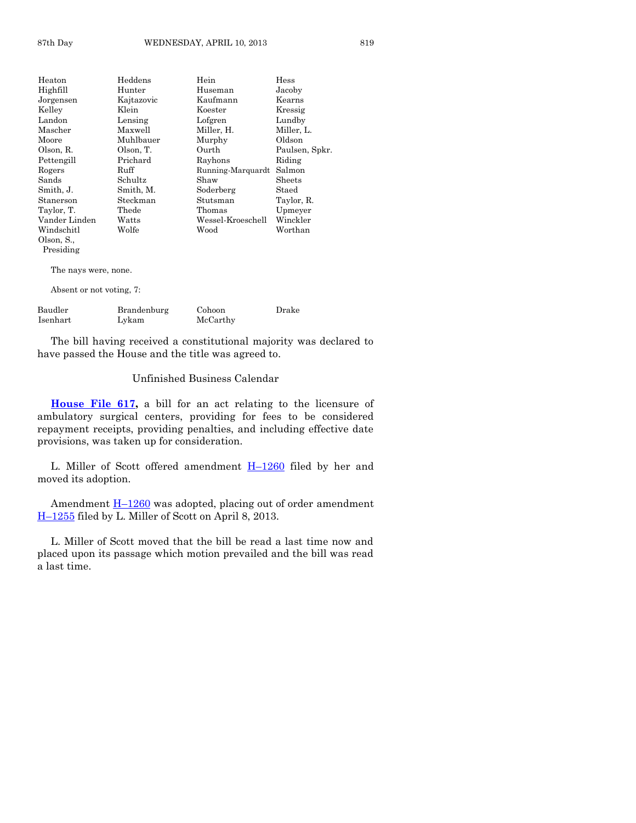| Heaton                   | Heddens    | Hein              | Hess           |
|--------------------------|------------|-------------------|----------------|
| Highfill                 | Hunter     | Huseman           | Jacoby         |
| Jorgensen                | Kajtazovic | Kaufmann          | Kearns         |
| Kelley                   | Klein      | Koester           | Kressig        |
| Landon                   | Lensing    | Lofgren           | Lundby         |
| Mascher                  | Maxwell    | Miller, H.        | Miller, L.     |
| Moore                    | Muhlbauer  | Murphy            | Oldson         |
| Olson, R.                | Olson, T.  | Ourth             | Paulsen, Spkr. |
| Pettengill               | Prichard   | Rayhons           | Riding         |
| Rogers                   | Ruff       | Running-Marquardt | Salmon         |
| Sands                    | Schultz    | Shaw              | Sheets         |
| Smith, J.                | Smith, M.  | Soderberg         | Staed          |
| Stanerson                | Steckman   | Stutsman          | Taylor, R.     |
| Taylor, T.               | Thede      | Thomas            | Upmeyer        |
| Vander Linden            | Watts      | Wessel-Kroeschell | Winckler       |
| Windschitl               | Wolfe      | Wood              | Worthan        |
| Olson, S.,               |            |                   |                |
| Presiding                |            |                   |                |
| The nays were, none.     |            |                   |                |
| Absent or not voting, 7: |            |                   |                |

| Baudler  | Brandenburg | Cohoon   | Drake |
|----------|-------------|----------|-------|
| Isenhart | Lykam       | McCarthy |       |

The bill having received a constitutional majority was declared to have passed the House and the title was agreed to.

#### Unfinished Business Calendar

**[House File 617,](http://coolice.legis.state.ia.us/Cool-ICE/default.asp?Category=billinfo&Service=Billbook&frame=1&GA=85&hbill=HF617)** a bill for an act relating to the licensure of ambulatory surgical centers, providing for fees to be considered repayment receipts, providing penalties, and including effective date provisions, was taken up for consideration.

L. Miller of Scott offered amendment  $H-1260$  $H-1260$  filed by her and moved its adoption.

Amendment H–[1260](http://coolice.legis.state.ia.us/Cool-ICE/default.asp?Category=billinfo&Service=Billbook&frame=1&GA=85&hbill=H1260) was adopted, placing out of order amendment H–[1255](http://coolice.legis.state.ia.us/Cool-ICE/default.asp?Category=billinfo&Service=Billbook&frame=1&GA=85&hbill=H1255) filed by L. Miller of Scott on April 8, 2013.

L. Miller of Scott moved that the bill be read a last time now and placed upon its passage which motion prevailed and the bill was read a last time.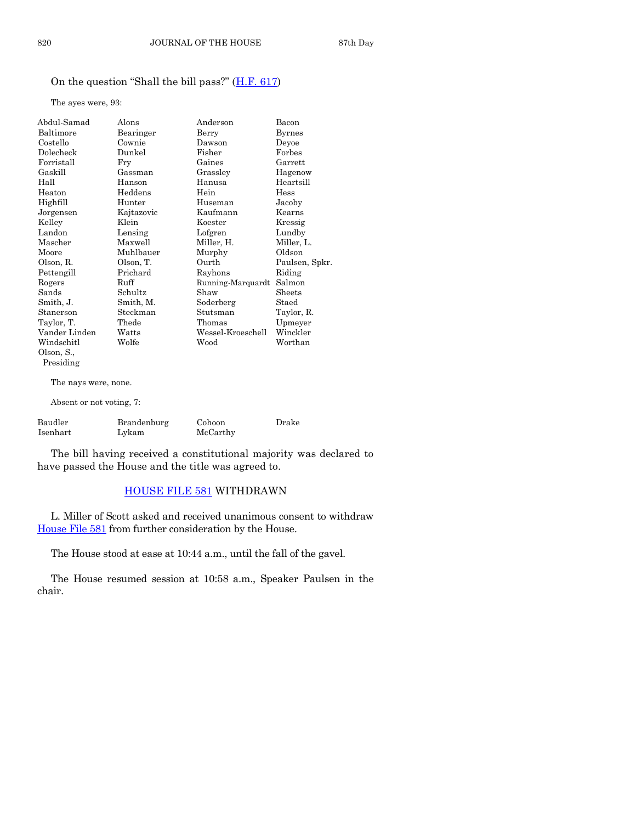# On the question "Shall the bill pass?" ([H.F. 617\)](http://coolice.legis.state.ia.us/Cool-ICE/default.asp?Category=billinfo&Service=Billbook&frame=1&GA=85&hbill=HF617)

The ayes were, 93:

| Abdul-Samad   | Alons      | Anderson          | Bacon          |
|---------------|------------|-------------------|----------------|
| Baltimore     | Bearinger  | Berry             | <b>Byrnes</b>  |
| Costello      | Cownie     | Dawson            | Devoe          |
| Dolecheck     | Dunkel     | Fisher            | Forbes         |
| Forristall    | Fry        | Gaines            | Garrett        |
| Gaskill       | Gassman    | Grassley          | Hagenow        |
| Hall          | Hanson     | Hanusa            | Heartsill      |
| Heaton        | Heddens    | Hein              | Hess           |
| Highfill      | Hunter     | Huseman           | Jacoby         |
| Jorgensen     | Kajtazovic | Kaufmann          | Kearns         |
| Kelley        | Klein      | Koester           | Kressig        |
| Landon        | Lensing    | Lofgren           | Lundby         |
| Mascher       | Maxwell    | Miller, H.        | Miller, L.     |
| Moore         | Muhlbauer  | Murphy            | Oldson         |
| Olson, R.     | Olson, T.  | Ourth             | Paulsen, Spkr. |
| Pettengill    | Prichard   | Rayhons           | Riding         |
| Rogers        | Ruff       | Running-Marquardt | Salmon         |
| Sands         | Schultz    | Shaw              | Sheets         |
| Smith, J.     | Smith, M.  | Soderberg         | Staed          |
| Stanerson     | Steckman   | Stutsman          | Taylor, R.     |
| Taylor, T.    | Thede      | Thomas            | Upmeyer        |
| Vander Linden | Watts      | Wessel-Kroeschell | Winckler       |
| Windschitl    | Wolfe      | Wood              | Worthan        |
| Olson, S.,    |            |                   |                |
| Presiding     |            |                   |                |
|               |            |                   |                |

The nays were, none.

Absent or not voting, 7:

| Baudler  | Brandenburg | Cohoon   | Drake |
|----------|-------------|----------|-------|
| Isenhart | Lykam       | McCarthy |       |

The bill having received a constitutional majority was declared to have passed the House and the title was agreed to.

# [HOUSE FILE 581](http://coolice.legis.state.ia.us/Cool-ICE/default.asp?Category=billinfo&Service=Billbook&frame=1&GA=85&hbill=HF581) WITHDRAWN

L. Miller of Scott asked and received unanimous consent to withdraw [House File 581](http://coolice.legis.state.ia.us/Cool-ICE/default.asp?Category=billinfo&Service=Billbook&frame=1&GA=85&hbill=HF581) from further consideration by the House.

The House stood at ease at 10:44 a.m., until the fall of the gavel.

The House resumed session at 10:58 a.m., Speaker Paulsen in the chair.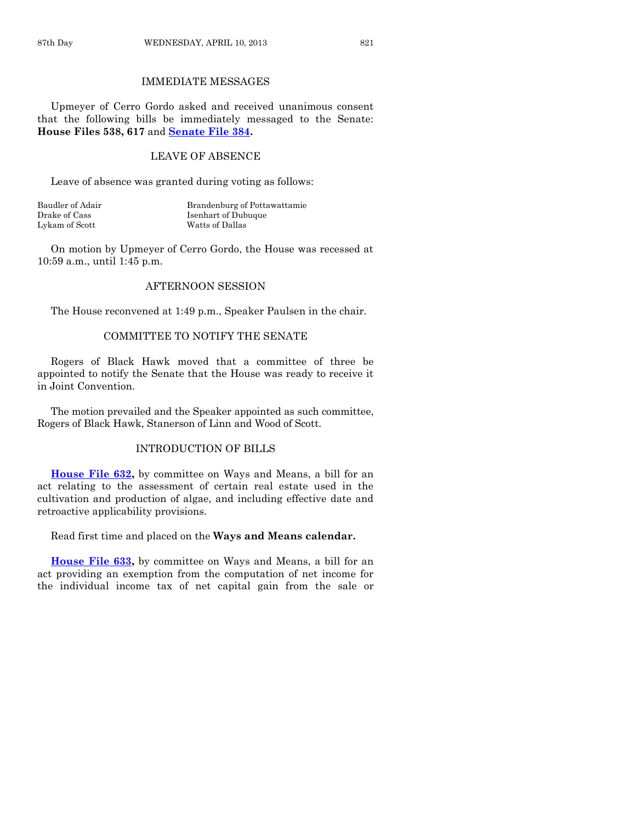# IMMEDIATE MESSAGES

Upmeyer of Cerro Gordo asked and received unanimous consent that the following bills be immediately messaged to the Senate: **House Files 538, 617** and **[Senate File 384.](http://coolice.legis.state.ia.us/Cool-ICE/default.asp?Category=billinfo&Service=Billbook&frame=1&GA=85&hbill=SF384)**

#### LEAVE OF ABSENCE

Leave of absence was granted during voting as follows:

| Baudler of Adair | Brandenburg of Pottawattamie |
|------------------|------------------------------|
| Drake of Cass    | Isenhart of Dubuque          |
| Lykam of Scott   | Watts of Dallas              |

On motion by Upmeyer of Cerro Gordo, the House was recessed at 10:59 a.m., until 1:45 p.m.

#### AFTERNOON SESSION

The House reconvened at 1:49 p.m., Speaker Paulsen in the chair.

#### COMMITTEE TO NOTIFY THE SENATE

Rogers of Black Hawk moved that a committee of three be appointed to notify the Senate that the House was ready to receive it in Joint Convention.

The motion prevailed and the Speaker appointed as such committee, Rogers of Black Hawk, Stanerson of Linn and Wood of Scott.

#### INTRODUCTION OF BILLS

**[House File 632,](http://coolice.legis.state.ia.us/Cool-ICE/default.asp?Category=billinfo&Service=Billbook&frame=1&GA=85&hbill=HF632)** by committee on Ways and Means, a bill for an act relating to the assessment of certain real estate used in the cultivation and production of algae, and including effective date and retroactive applicability provisions.

Read first time and placed on the **Ways and Means calendar.**

**[House File 633,](http://coolice.legis.state.ia.us/Cool-ICE/default.asp?Category=billinfo&Service=Billbook&frame=1&GA=85&hbill=HF633)** by committee on Ways and Means, a bill for an act providing an exemption from the computation of net income for the individual income tax of net capital gain from the sale or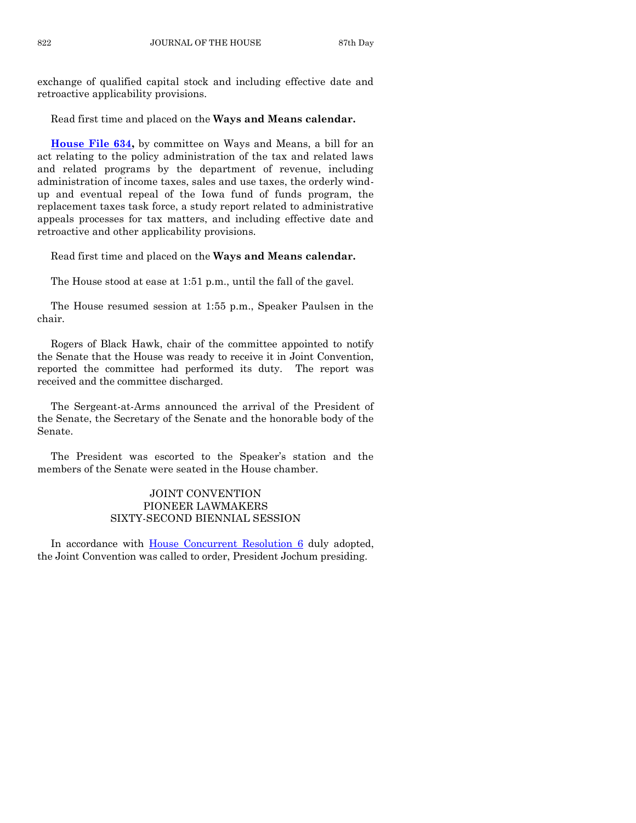exchange of qualified capital stock and including effective date and retroactive applicability provisions.

Read first time and placed on the **Ways and Means calendar.**

**[House File 634,](http://coolice.legis.state.ia.us/Cool-ICE/default.asp?Category=billinfo&Service=Billbook&frame=1&GA=85&hbill=HF634)** by committee on Ways and Means, a bill for an act relating to the policy administration of the tax and related laws and related programs by the department of revenue, including administration of income taxes, sales and use taxes, the orderly windup and eventual repeal of the Iowa fund of funds program, the replacement taxes task force, a study report related to administrative appeals processes for tax matters, and including effective date and retroactive and other applicability provisions.

Read first time and placed on the **Ways and Means calendar.**

The House stood at ease at 1:51 p.m., until the fall of the gavel.

The House resumed session at 1:55 p.m., Speaker Paulsen in the chair.

Rogers of Black Hawk, chair of the committee appointed to notify the Senate that the House was ready to receive it in Joint Convention, reported the committee had performed its duty. The report was received and the committee discharged.

The Sergeant-at-Arms announced the arrival of the President of the Senate, the Secretary of the Senate and the honorable body of the Senate.

The President was escorted to the Speaker's station and the members of the Senate were seated in the House chamber.

## JOINT CONVENTION PIONEER LAWMAKERS SIXTY-SECOND BIENNIAL SESSION

In accordance with **House Concurrent Resolution 6** duly adopted, the Joint Convention was called to order, President Jochum presiding.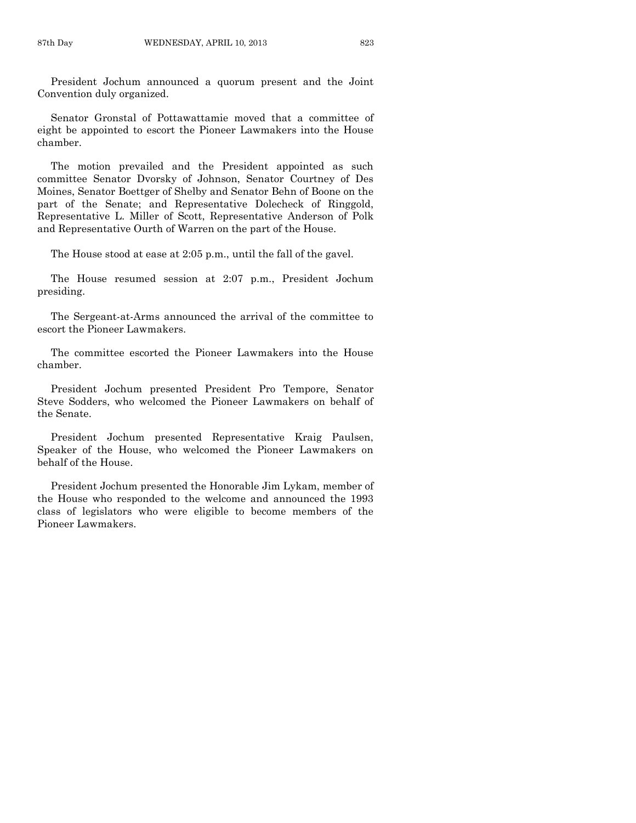President Jochum announced a quorum present and the Joint Convention duly organized.

Senator Gronstal of Pottawattamie moved that a committee of eight be appointed to escort the Pioneer Lawmakers into the House chamber.

The motion prevailed and the President appointed as such committee Senator Dvorsky of Johnson, Senator Courtney of Des Moines, Senator Boettger of Shelby and Senator Behn of Boone on the part of the Senate; and Representative Dolecheck of Ringgold, Representative L. Miller of Scott, Representative Anderson of Polk and Representative Ourth of Warren on the part of the House.

The House stood at ease at 2:05 p.m., until the fall of the gavel.

The House resumed session at 2:07 p.m., President Jochum presiding.

The Sergeant-at-Arms announced the arrival of the committee to escort the Pioneer Lawmakers.

The committee escorted the Pioneer Lawmakers into the House chamber.

President Jochum presented President Pro Tempore, Senator Steve Sodders, who welcomed the Pioneer Lawmakers on behalf of the Senate.

President Jochum presented Representative Kraig Paulsen, Speaker of the House, who welcomed the Pioneer Lawmakers on behalf of the House.

President Jochum presented the Honorable Jim Lykam, member of the House who responded to the welcome and announced the 1993 class of legislators who were eligible to become members of the Pioneer Lawmakers.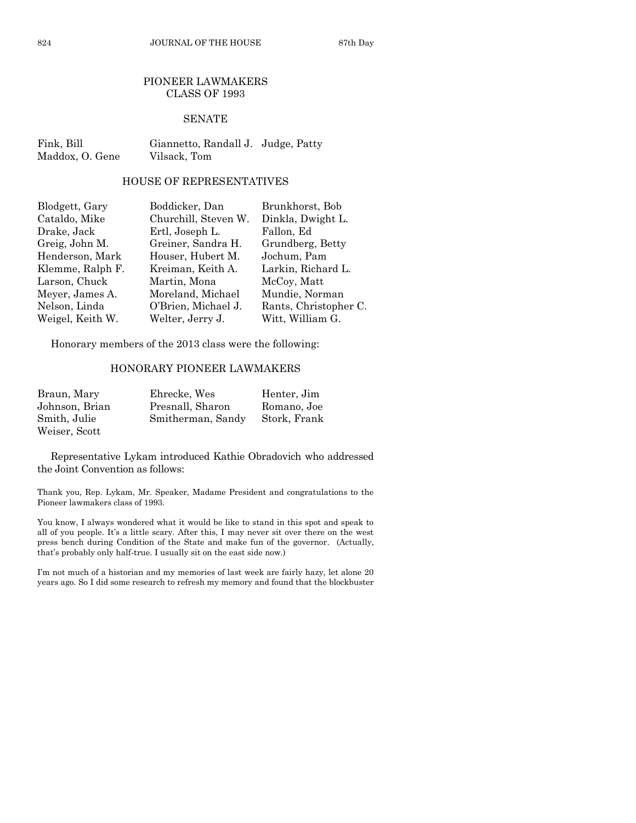#### PIONEER LAWMAKERS CLASS OF 1993

#### SENATE

Fink, Bill Giannetto, Randall J. Judge, Patty Maddox, O. Gene Vilsack, Tom

#### HOUSE OF REPRESENTATIVES

| Blodgett, Gary   | Boddicker, Dan       | Brunkhorst, Bob       |
|------------------|----------------------|-----------------------|
| Cataldo, Mike    | Churchill, Steven W. | Dinkla, Dwight L.     |
| Drake, Jack      | Ertl, Joseph L.      | Fallon, Ed            |
| Greig, John M.   | Greiner, Sandra H.   | Grundberg, Betty      |
| Henderson, Mark  | Houser, Hubert M.    | Jochum, Pam           |
| Klemme, Ralph F. | Kreiman, Keith A.    | Larkin, Richard L.    |
| Larson, Chuck    | Martin, Mona         | McCoy, Matt           |
| Meyer, James A.  | Moreland, Michael    | Mundie, Norman        |
| Nelson, Linda    | O'Brien, Michael J.  | Rants, Christopher C. |
| Weigel, Keith W. | Welter, Jerry J.     | Witt, William G.      |

Honorary members of the 2013 class were the following:

# HONORARY PIONEER LAWMAKERS

| Braun, Mary    | Ehrecke, Wes      | Henter, Jim  |
|----------------|-------------------|--------------|
| Johnson, Brian | Presnall, Sharon  | Romano, Joe  |
| Smith. Julie   | Smitherman, Sandy | Stork, Frank |
| Weiser, Scott  |                   |              |

Representative Lykam introduced Kathie Obradovich who addressed the Joint Convention as follows:

Thank you, Rep. Lykam, Mr. Speaker, Madame President and congratulations to the Pioneer lawmakers class of 1993.

You know, I always wondered what it would be like to stand in this spot and speak to all of you people. It's a little scary. After this, I may never sit over there on the west press bench during Condition of the State and make fun of the governor. (Actually, that's probably only half-true. I usually sit on the east side now.)

I'm not much of a historian and my memories of last week are fairly hazy, let alone 20 years ago. So I did some research to refresh my memory and found that the blockbuster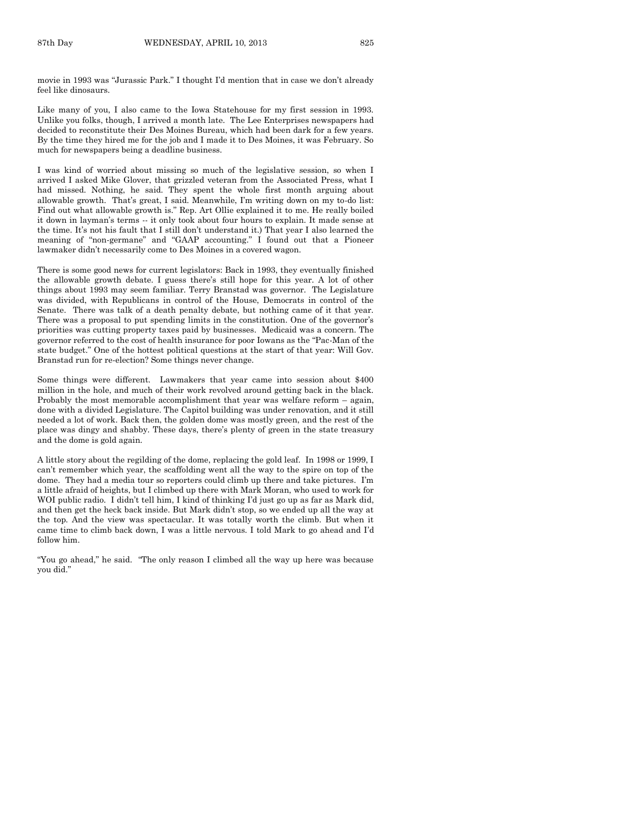movie in 1993 was "Jurassic Park." I thought I'd mention that in case we don't already feel like dinosaurs.

Like many of you, I also came to the Iowa Statehouse for my first session in 1993. Unlike you folks, though, I arrived a month late. The Lee Enterprises newspapers had decided to reconstitute their Des Moines Bureau, which had been dark for a few years. By the time they hired me for the job and I made it to Des Moines, it was February. So much for newspapers being a deadline business.

I was kind of worried about missing so much of the legislative session, so when I arrived I asked Mike Glover, that grizzled veteran from the Associated Press, what I had missed. Nothing, he said. They spent the whole first month arguing about allowable growth. That's great, I said. Meanwhile, I'm writing down on my to-do list: Find out what allowable growth is." Rep. Art Ollie explained it to me. He really boiled it down in layman's terms -- it only took about four hours to explain. It made sense at the time. It's not his fault that I still don't understand it.) That year I also learned the meaning of "non-germane" and "GAAP accounting." I found out that a Pioneer lawmaker didn't necessarily come to Des Moines in a covered wagon.

There is some good news for current legislators: Back in 1993, they eventually finished the allowable growth debate. I guess there's still hope for this year. A lot of other things about 1993 may seem familiar. Terry Branstad was governor. The Legislature was divided, with Republicans in control of the House, Democrats in control of the Senate. There was talk of a death penalty debate, but nothing came of it that year. There was a proposal to put spending limits in the constitution. One of the governor's priorities was cutting property taxes paid by businesses. Medicaid was a concern. The governor referred to the cost of health insurance for poor Iowans as the "Pac-Man of the state budget." One of the hottest political questions at the start of that year: Will Gov. Branstad run for re-election? Some things never change.

Some things were different. Lawmakers that year came into session about \$400 million in the hole, and much of their work revolved around getting back in the black. Probably the most memorable accomplishment that year was welfare reform – again, done with a divided Legislature. The Capitol building was under renovation, and it still needed a lot of work. Back then, the golden dome was mostly green, and the rest of the place was dingy and shabby. These days, there's plenty of green in the state treasury and the dome is gold again.

A little story about the regilding of the dome, replacing the gold leaf. In 1998 or 1999, I can't remember which year, the scaffolding went all the way to the spire on top of the dome. They had a media tour so reporters could climb up there and take pictures. I'm a little afraid of heights, but I climbed up there with Mark Moran, who used to work for WOI public radio. I didn't tell him, I kind of thinking I'd just go up as far as Mark did, and then get the heck back inside. But Mark didn't stop, so we ended up all the way at the top. And the view was spectacular. It was totally worth the climb. But when it came time to climb back down, I was a little nervous. I told Mark to go ahead and I'd follow him.

"You go ahead," he said. "The only reason I climbed all the way up here was because you did."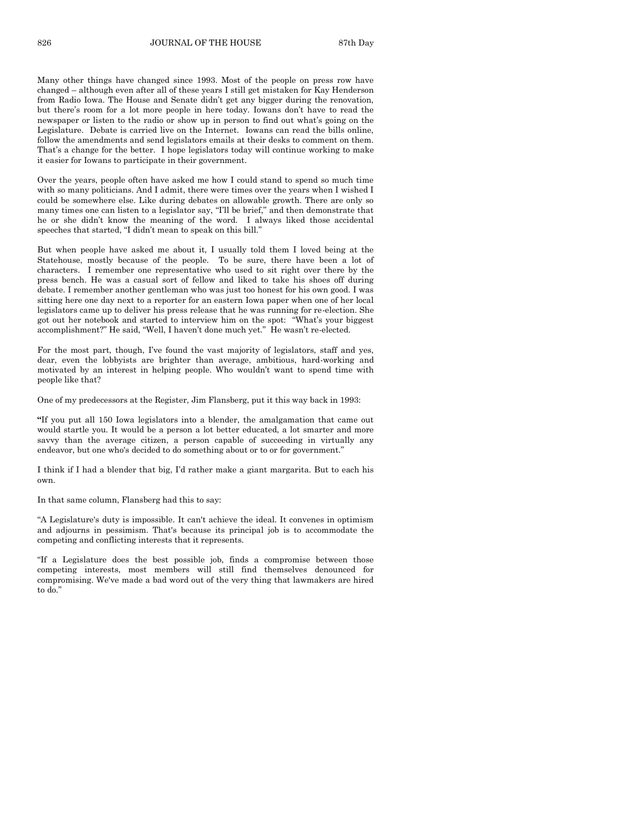Many other things have changed since 1993. Most of the people on press row have changed – although even after all of these years I still get mistaken for Kay Henderson from Radio Iowa. The House and Senate didn't get any bigger during the renovation, but there's room for a lot more people in here today. Iowans don't have to read the newspaper or listen to the radio or show up in person to find out what's going on the Legislature. Debate is carried live on the Internet. Iowans can read the bills online, follow the amendments and send legislators emails at their desks to comment on them. That's a change for the better. I hope legislators today will continue working to make it easier for Iowans to participate in their government.

Over the years, people often have asked me how I could stand to spend so much time with so many politicians. And I admit, there were times over the years when I wished I could be somewhere else. Like during debates on allowable growth. There are only so many times one can listen to a legislator say, "I'll be brief," and then demonstrate that he or she didn't know the meaning of the word. I always liked those accidental speeches that started, "I didn't mean to speak on this bill."

But when people have asked me about it, I usually told them I loved being at the Statehouse, mostly because of the people. To be sure, there have been a lot of characters. I remember one representative who used to sit right over there by the press bench. He was a casual sort of fellow and liked to take his shoes off during debate. I remember another gentleman who was just too honest for his own good. I was sitting here one day next to a reporter for an eastern Iowa paper when one of her local legislators came up to deliver his press release that he was running for re-election. She got out her notebook and started to interview him on the spot: "What's your biggest accomplishment?" He said, "Well, I haven't done much yet." He wasn't re-elected.

For the most part, though, I've found the vast majority of legislators, staff and yes, dear, even the lobbyists are brighter than average, ambitious, hard-working and motivated by an interest in helping people. Who wouldn't want to spend time with people like that?

One of my predecessors at the Register, Jim Flansberg, put it this way back in 1993:

**"**If you put all 150 Iowa legislators into a blender, the amalgamation that came out would startle you. It would be a person a lot better educated, a lot smarter and more savvy than the average citizen, a person capable of succeeding in virtually any endeavor, but one who's decided to do something about or to or for government."

I think if I had a blender that big, I'd rather make a giant margarita. But to each his own.

In that same column, Flansberg had this to say:

"A Legislature's duty is impossible. It can't achieve the ideal. It convenes in optimism and adjourns in pessimism. That's because its principal job is to accommodate the competing and conflicting interests that it represents.

"If a Legislature does the best possible job, finds a compromise between those competing interests, most members will still find themselves denounced for compromising. We've made a bad word out of the very thing that lawmakers are hired to do."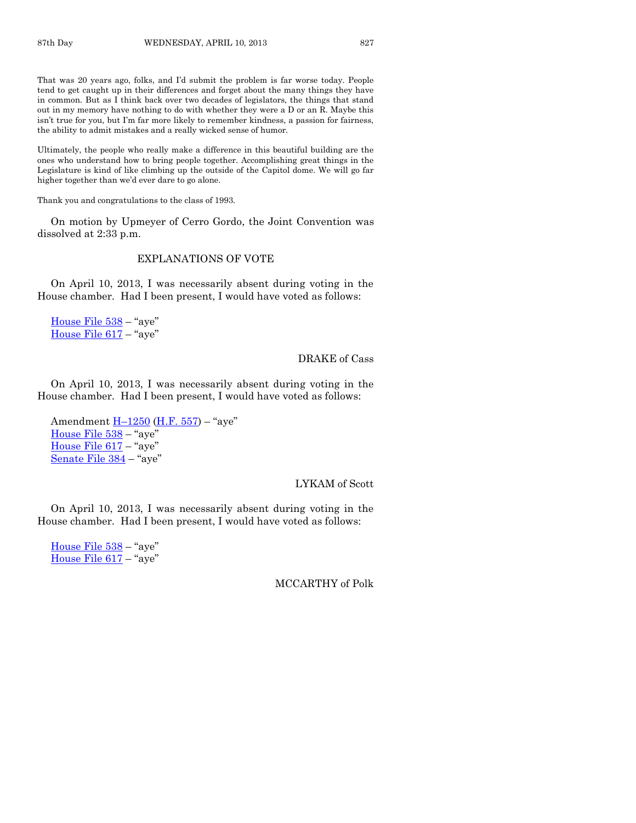That was 20 years ago, folks, and I'd submit the problem is far worse today. People tend to get caught up in their differences and forget about the many things they have in common. But as I think back over two decades of legislators, the things that stand out in my memory have nothing to do with whether they were a D or an R. Maybe this isn't true for you, but I'm far more likely to remember kindness, a passion for fairness, the ability to admit mistakes and a really wicked sense of humor.

Ultimately, the people who really make a difference in this beautiful building are the ones who understand how to bring people together. Accomplishing great things in the Legislature is kind of like climbing up the outside of the Capitol dome. We will go far higher together than we'd ever dare to go alone.

Thank you and congratulations to the class of 1993.

On motion by Upmeyer of Cerro Gordo, the Joint Convention was dissolved at 2:33 p.m.

#### EXPLANATIONS OF VOTE

On April 10, 2013, I was necessarily absent during voting in the House chamber. Had I been present, I would have voted as follows:

[House File 538](http://coolice.legis.state.ia.us/Cool-ICE/default.asp?Category=billinfo&Service=Billbook&frame=1&GA=85&hbill=HF538) – "aye" [House File 617](http://coolice.legis.state.ia.us/Cool-ICE/default.asp?Category=billinfo&Service=Billbook&frame=1&GA=85&hbill=HF617) – "aye"

#### DRAKE of Cass

On April 10, 2013, I was necessarily absent during voting in the House chamber. Had I been present, I would have voted as follows:

Amendment  $H-1250$  $H-1250$  [\(H.F. 557\)](http://coolice.legis.state.ia.us/Cool-ICE/default.asp?Category=billinfo&Service=Billbook&frame=1&GA=85&hbill=HF557) – "aye" [House File 538](http://coolice.legis.state.ia.us/Cool-ICE/default.asp?Category=billinfo&Service=Billbook&frame=1&GA=85&hbill=HF538) – "aye" [House File 617](http://coolice.legis.state.ia.us/Cool-ICE/default.asp?Category=billinfo&Service=Billbook&frame=1&GA=85&hbill=HF617) – "aye" [Senate File 384](http://coolice.legis.state.ia.us/Cool-ICE/default.asp?Category=billinfo&Service=Billbook&frame=1&GA=85&hbill=SF384) – "aye"

#### LYKAM of Scott

On April 10, 2013, I was necessarily absent during voting in the House chamber. Had I been present, I would have voted as follows:

[House File 538](http://coolice.legis.state.ia.us/Cool-ICE/default.asp?Category=billinfo&Service=Billbook&frame=1&GA=85&hbill=HF538) – "aye" [House File 617](http://coolice.legis.state.ia.us/Cool-ICE/default.asp?Category=billinfo&Service=Billbook&frame=1&GA=85&hbill=HF617) – "aye"

#### MCCARTHY of Polk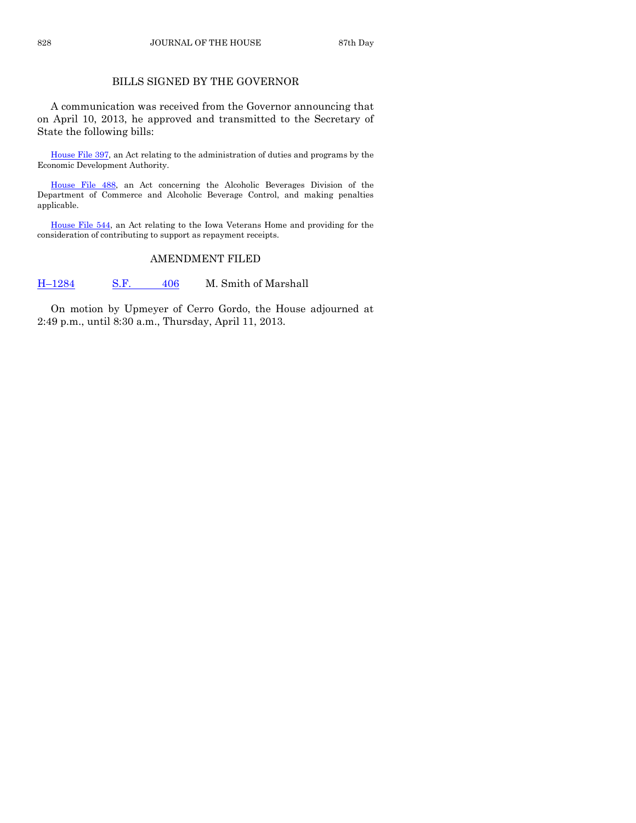# BILLS SIGNED BY THE GOVERNOR

A communication was received from the Governor announcing that on April 10, 2013, he approved and transmitted to the Secretary of State the following bills:

[House File 397,](http://coolice.legis.state.ia.us/Cool-ICE/default.asp?Category=billinfo&Service=Billbook&frame=1&GA=85&hbill=HF397) an Act relating to the administration of duties and programs by the Economic Development Authority.

[House File 488,](http://coolice.legis.state.ia.us/Cool-ICE/default.asp?Category=billinfo&Service=Billbook&frame=1&GA=85&hbill=HF488) an Act concerning the Alcoholic Beverages Division of the Department of Commerce and Alcoholic Beverage Control, and making penalties applicable.

[House File 544,](http://coolice.legis.state.ia.us/Cool-ICE/default.asp?Category=billinfo&Service=Billbook&frame=1&GA=85&hbill=HF544) an Act relating to the Iowa Veterans Home and providing for the consideration of contributing to support as repayment receipts.

# AMENDMENT FILED

H-[1284](http://coolice.legis.state.ia.us/Cool-ICE/default.asp?Category=billinfo&Service=Billbook&frame=1&GA=85&hbill=H1284) [S.F.](http://coolice.legis.state.ia.us/Cool-ICE/default.asp?Category=billinfo&Service=Billbook&frame=1&GA=85&hbill=SF406) 406 M. Smith of Marshall

On motion by Upmeyer of Cerro Gordo, the House adjourned at 2:49 p.m., until 8:30 a.m., Thursday, April 11, 2013.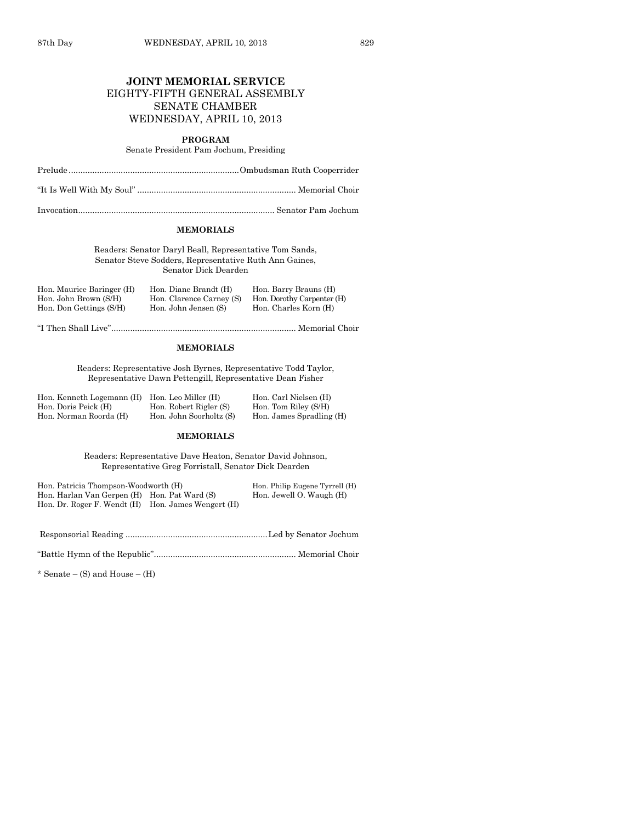# **JOINT MEMORIAL SERVICE** EIGHTY-FIFTH GENERAL ASSEMBLY SENATE CHAMBER WEDNESDAY, APRIL 10, 2013

#### **PROGRAM**

Senate President Pam Jochum, Presiding

Prelude ........................................................................Ombudsman Ruth Cooperrider

"It Is Well With My Soul" ................................................................... Memorial Choir

Invocation................................................................................... Senator Pam Jochum

#### **MEMORIALS**

Readers: Senator Daryl Beall, Representative Tom Sands, Senator Steve Sodders, Representative Ruth Ann Gaines, Senator Dick Dearden

| Hon. Maurice Baringer (H) | Hon. Diane Brandt (H)    | Hon. Barry Brauns (H)      |
|---------------------------|--------------------------|----------------------------|
| Hon. John Brown (S/H)     | Hon. Clarence Carney (S) | Hon. Dorothy Carpenter (H) |
| Hon. Don Gettings (S/H)   | Hon. John Jensen (S)     | Hon. Charles Korn (H)      |

"I Then Shall Live".............................................................................. Memorial Choir

#### **MEMORIALS**

Readers: Representative Josh Byrnes, Representative Todd Taylor, Representative Dawn Pettengill, Representative Dean Fisher

| Hon. Kenneth Logemann (H) Hon. Leo Miller (H) |                         | Hon. Carl Nielsen (H)    |
|-----------------------------------------------|-------------------------|--------------------------|
| Hon. Doris Peick (H)                          | Hon. Robert Rigler (S)  | Hon. Tom Riley (S/H)     |
| Hon. Norman Roorda (H)                        | Hon. John Soorholtz (S) | Hon. James Spradling (H) |

#### **MEMORIALS**

Readers: Representative Dave Heaton, Senator David Johnson, Representative Greg Forristall, Senator Dick Dearden

| Hon. Patricia Thompson-Woodworth (H)               |  | Hon. Philip Eugene Tyrrell (H) |
|----------------------------------------------------|--|--------------------------------|
| Hon. Harlan Van Gerpen (H) Hon. Pat Ward (S)       |  | Hon. Jewell O. Waugh (H)       |
| Hon. Dr. Roger F. Wendt (H) Hon. James Wengert (H) |  |                                |

Responsorial Reading ............................................................Led by Senator Jochum

"Battle Hymn of the Republic"............................................................ Memorial Choir

\* Senate – (S) and House – (H)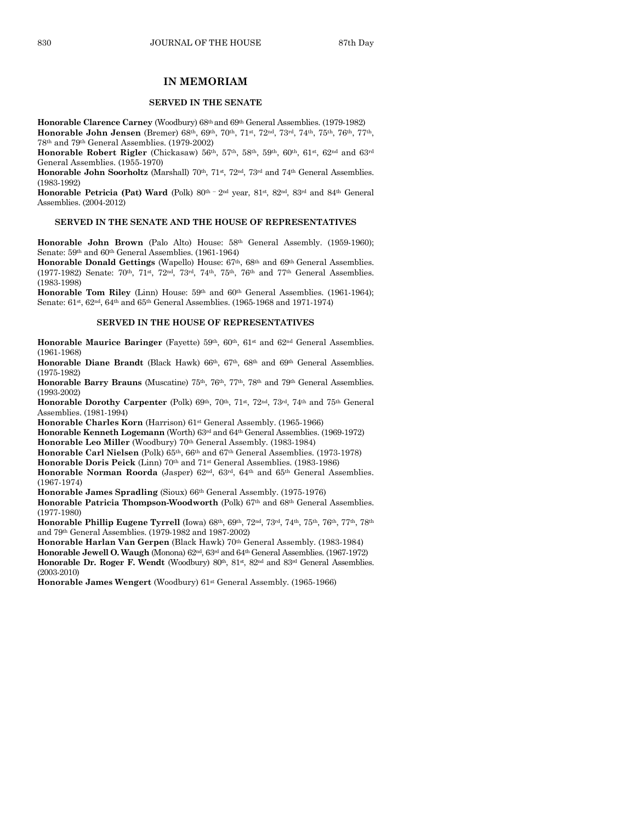#### **IN MEMORIAM**

#### **SERVED IN THE SENATE**

**Honorable Clarence Carney** (Woodbury) 68th and 69th General Assemblies. (1979-1982) **Honorable John Jensen** (Bremer) 68th, 69th, 70th, 71st, 72nd, 73rd, 74th, 75th, 76th, 77th, 78th and 79th General Assemblies. (1979-2002)

Honorable Robert Rigler (Chickasaw) 56<sup>th</sup>, 57<sup>th</sup>, 58<sup>th</sup>, 59<sup>th</sup>, 60<sup>th</sup>, 61<sup>st</sup>, 62<sup>nd</sup> and 63<sup>rd</sup> General Assemblies. (1955-1970)

Honorable John Soorholtz (Marshall) 70<sup>th</sup>, 71<sup>st</sup>, 72<sup>nd</sup>, 73<sup>rd</sup> and 74<sup>th</sup> General Assemblies. (1983-1992)

**Honorable Petricia (Pat) Ward** (Polk)  $80^{th}$  – 2<sup>nd</sup> year,  $81^{st}$ ,  $82^{nd}$ ,  $83^{rd}$  and  $84^{th}$  General Assemblies. (2004-2012)

#### **SERVED IN THE SENATE AND THE HOUSE OF REPRESENTATIVES**

**Honorable John Brown** (Palo Alto) House:  $58<sup>th</sup>$  General Assembly. (1959-1960); Senate: 59th and 60th General Assemblies. (1961-1964)

**Honorable Donald Gettings** (Wapello) House: 67th, 68th and 69th General Assemblies. (1977-1982) Senate: 70th, 71st, 72nd, 73rd, 74th, 75th, 76th and 77th General Assemblies. (1983-1998)

**Honorable Tom Riley** (Linn) House: 59<sup>th</sup> and 60<sup>th</sup> General Assemblies. (1961-1964); Senate: 61st, 62nd, 64th and 65th General Assemblies. (1965-1968 and 1971-1974)

#### **SERVED IN THE HOUSE OF REPRESENTATIVES**

**Honorable Maurice Baringer** (Fayette) 59<sup>th</sup>, 60<sup>th</sup>, 61<sup>st</sup> and 62<sup>nd</sup> General Assemblies. (1961-1968)

**Honorable Diane Brandt** (Black Hawk) 66th, 67th, 68th and 69th General Assemblies. (1975-1982)

Honorable Barry Brauns (Muscatine) 75<sup>th</sup>, 76<sup>th</sup>, 77<sup>th</sup>, 78<sup>th</sup> and 79<sup>th</sup> General Assemblies. (1993-2002)

**Honorable Dorothy Carpenter** (Polk) 69<sup>th</sup>, 70<sup>th</sup>, 71<sup>st</sup>, 72<sup>nd</sup>, 73<sup>rd</sup>, 74<sup>th</sup> and 75<sup>th</sup> General Assemblies. (1981-1994)

**Honorable Charles Korn** (Harrison) 61st General Assembly. (1965-1966)

**Honorable Kenneth Logemann** (Worth) 63rd and 64th General Assemblies. (1969-1972) **Honorable Leo Miller** (Woodbury) 70th General Assembly. (1983-1984)

**Honorable Carl Nielsen** (Polk) 65th, 66th and 67th General Assemblies. (1973-1978)

**Honorable Doris Peick** (Linn) 70th and 71st General Assemblies. (1983-1986)

**Honorable Norman Roorda** (Jasper) 62nd, 63rd, 64th and 65th General Assemblies. (1967-1974)

**Honorable James Spradling** (Sioux) 66th General Assembly. (1975-1976)

**Honorable Patricia Thompson-Woodworth** (Polk) 67th and 68th General Assemblies. (1977-1980)

Honorable Phillip Eugene Tyrrell (Iowa) 68th, 69th, 72nd, 73rd, 74th, 75th, 76th, 77th, 78th and 79th General Assemblies. (1979-1982 and 1987-2002)

**Honorable Harlan Van Gerpen** (Black Hawk) 70th General Assembly. (1983-1984)

**Honorable Jewell O. Waugh** (Monona) 62nd, 63rd and 64th General Assemblies. (1967-1972) **Honorable Dr. Roger F. Wendt** (Woodbury) 80<sup>th</sup>, 81<sup>st</sup>, 82<sup>nd</sup> and 83<sup>rd</sup> General Assemblies. (2003-2010)

**Honorable James Wengert** (Woodbury) 61st General Assembly. (1965-1966)